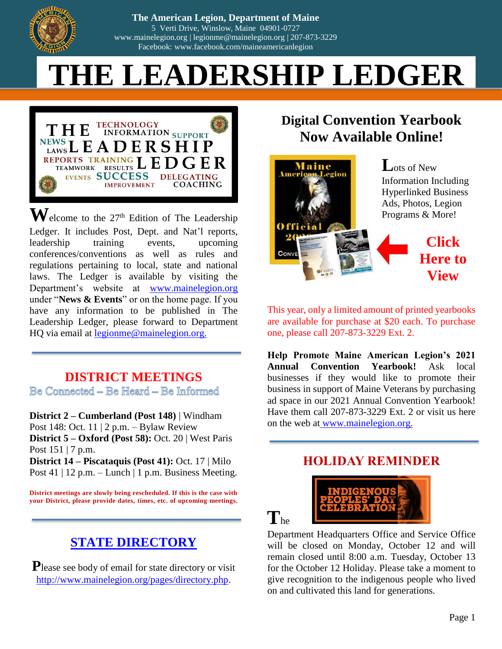

 $\ln$   $\mathbf{D}_{\text{excess}}$ Facebook: www.facebook.com/maineamericanlegion **The American Legion, Dep The American Legion, Department of Maine** 5 Verti Drive, Winslow, Maine 04901-0727 [www.mainelegion.org](http://www.mainelegion.org/) | [legionme@mainelegion.org](mailto:legionme@mainelegion.org) | 207-873-3229 Facebook: www.facebook.com/maineamericanlegion

# **Enjoy the 2020 Convention Digital THE LEADERSHI[P LEDGER](https://indd.adobe.com/view/b6c6c128-5712-4eaa-85fc-030f59fd34de)**



 $\mathbf{W}$ elcome to the 27<sup>th</sup> Edition of The Leadership Ledger. It includes Post, Dept. and Nat'l reports, leadership training events, upcoming conferences/conventions as well as rules and regulations pertaining to local, state and national laws. The Ledger is available by visiting the Department's website at [www.mainelegion.org](http://www.mainelegion.org/) under "**News & Events**" or on the home page. If you have any information to be published in The Leadership Ledger, please forward to Department HQ via email at [legionme@mainelegion.org.](mailto:legionme@mainelegion.org)

**DISTRICT MEETINGS**

Be Connected - Be Heard - Be Informed

**District 2 – Cumberland (Post 148)** | Windham Post 148: Oct. 11 | 2 p.m. – Bylaw Review **District 5 – Oxford (Post 58):** Oct. 20 | West Paris Post  $151 \mid 7$  p.m. **District 14 – Piscataquis (Post 41):** Oct. 17 | Milo Post 41 | 12 p.m. – Lunch | 1 p.m. Business Meeting.

**District meetings are slowly being rescheduled. If this is the case with your District, please provide dates, times, etc. of upcoming meetings.**

# **[STATE DIRECTORY](http://www.mainelegion.org/pages/directory.php)**

**P**lease see body of email for state directory or visit [http://www.mainelegion.org/pages/directory.php.](http://www.mainelegion.org/pages/directory.php)

# **Digital [Convention Yearbook](https://indd.adobe.com/view/b6c6c128-5712-4eaa-85fc-030f59fd34de)  [Now Available Online!](https://indd.adobe.com/view/b6c6c128-5712-4eaa-85fc-030f59fd34de)**



This year, only a limited amount of printed yearbooks are available for purchase at \$20 each. To purchase one, please call 207-873-3229 Ext. 2.

**Help Promote Maine American Legion's 2021 Annual Convention Yearbook!** Ask local businesses if they would like to promote their business in support of Maine Veterans by purchasing ad space in our 2021 Annual Convention Yearbook! Have them call 207-873-3229 Ext. 2 or visit us here on the web at www.mainelegion.org.

## **HOLIDAY REMINDER**



**T**he

Department Headquarters Office and Service Office will be closed on Monday, October 12 and will remain closed until 8:00 a.m. Tuesday, October 13 for the October 12 Holiday. Please take a moment to give recognition to the indigenous people who lived on and cultivated this land for generations.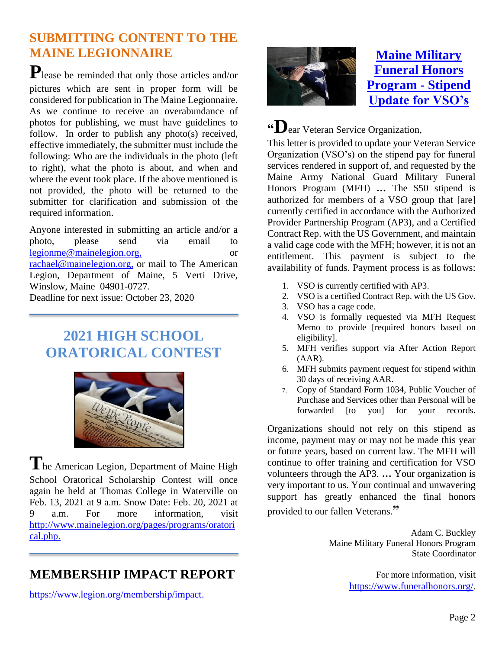## **SUBMITTING CONTENT TO THE MAINE LEGIONNAIRE**

**P**lease be reminded that only those articles and/or pictures which are sent in proper form will be considered for publication in The Maine Legionnaire. As we continue to receive an overabundance of photos for publishing, we must have guidelines to follow. In order to publish any photo(s) received, effective immediately, the submitter must include the following: Who are the individuals in the photo (left to right), what the photo is about, and when and where the event took place. If the above mentioned is not provided, the photo will be returned to the submitter for clarification and submission of the required information.

Anyone interested in submitting an article and/or a photo, please send via email to [legionme@mainelegion.org,](mailto:legionme@mainelegion.org) or [rachael@mainelegion.org,](mailto:rachael@mainelegion.org) or mail to The American Legion, Department of Maine, 5 Verti Drive, Winslow, Maine 04901-0727.

Deadline for next issue: October 23, 2020

# **2021 HIGH SCHOOL ORATORICAL CONTEST**



**T**he American Legion, Department of Maine High School Oratorical Scholarship Contest will once again be held at Thomas College in Waterville on Feb. 13, 2021 at 9 a.m. Snow Date: Feb. 20, 2021 at 9 a.m. For more information, visit [http://www.mainelegion.org/pages/programs/oratori](http://www.mainelegion.org/pages/programs/oratorical.php) [cal.php.](http://www.mainelegion.org/pages/programs/oratorical.php)

# **MEMBERSHIP IMPACT REPORT**

[https://www.legion.org/membership/impact.](https://www.legion.org/membership/impact)



## **[Maine Military](http://www.funeralhonors.org/)  [Funeral Honors](http://www.funeralhonors.org/)  [Program -](http://www.funeralhonors.org/) Stipend [Update for VSO's](http://www.funeralhonors.org/)**

**"D**ear Veteran Service Organization,

This letter is provided to update your Veteran Service Organization (VSO's) on the stipend pay for funeral services rendered in support of, and requested by the Maine Army National Guard Military Funeral Honors Program (MFH) **…** The \$50 stipend is authorized for members of a VSO group that [are] currently certified in accordance with the Authorized Provider Partnership Program (AP3), and a Certified Contract Rep. with the US Government, and maintain a valid cage code with the MFH; however, it is not an entitlement. This payment is subject to the availability of funds. Payment process is as follows:

- 1. VSO is currently certified with AP3.
- 2. VSO is a certified Contract Rep. with the US Gov.
- 3. VSO has a cage code.
- 4. VSO is formally requested via MFH Request Memo to provide [required honors based on eligibility].
- 5. MFH verifies support via After Action Report  $(AAR)$ .
- 6. MFH submits payment request for stipend within 30 days of receiving AAR.
- 7. Copy of Standard Form 1034, Public Voucher of Purchase and Services other than Personal will be forwarded [to you] for your records.

Organizations should not rely on this stipend as income, payment may or may not be made this year or future years, based on current law. The MFH will continue to offer training and certification for VSO volunteers through the AP3. **…** Your organization is very important to us. Your continual and unwavering support has greatly enhanced the final honors provided to our fallen Veterans.**"**

> Adam C. Buckley Maine Military Funeral Honors Program State Coordinator

> > For more information, visit <https://www.funeralhonors.org/>.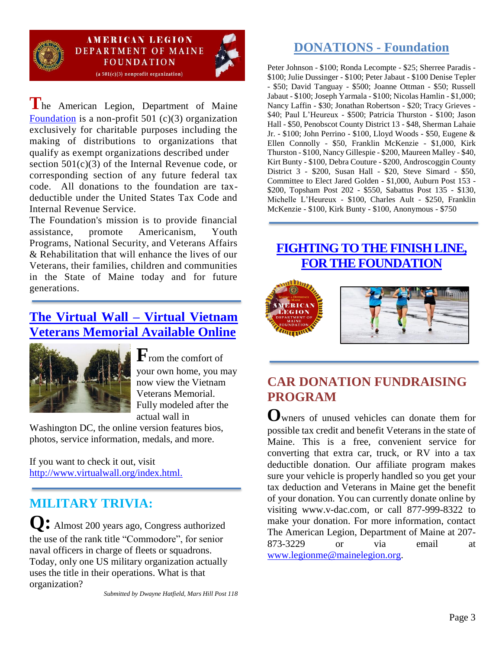

**AMERICAN LEGION DEPARTMENT OF MAINE FOUNDATION**  $(a 501(c)(3)$  nonprofit organization)

**T**he American Legion, Department of Maine [Foundation](http://www.mainelegion.org/pages/foundation.php) is a non-profit 501 (c)(3) organization exclusively for charitable purposes including the making of distributions to organizations that qualify as exempt organizations described under section 501(c)(3) of the Internal Revenue code, or corresponding section of any future federal tax code. All donations to the foundation are taxdeductible under the United States Tax Code and Internal Revenue Service.

The Foundation's mission is to provide financial assistance, promote Americanism, Youth Programs, National Security, and Veterans Affairs & Rehabilitation that will enhance the lives of our Veterans, their families, children and communities in the State of Maine today and for future generations.

## **[The Virtual Wall –](http://www.virtualwall.org/index.html) Virtual Vietnam [Veterans Memorial Available Online](http://www.virtualwall.org/index.html)**



**F**rom the comfort of your own home, you may now view the Vietnam Veterans Memorial. Fully modeled after the actual wall in

Washington DC, the online version features bios, photos, service information, medals, and more.

If you want to check it out, visit [http://www.virtualwall.org/index.html.](http://www.virtualwall.org/index.html)

# **MILITARY TRIVIA:**

**Q:** Almost 200 years ago, Congress authorized the use of the rank title "Commodore", for senior naval officers in charge of fleets or squadrons. Today, only one US military organization actually uses the title in their operations. What is that organization?

## **DONATIONS - Foundation**

Peter Johnson - \$100; Ronda Lecompte - \$25; Sherree Paradis - \$100; Julie Dussinger - \$100; Peter Jabaut - \$100 Denise Tepler - \$50; David Tanguay - \$500; Joanne Ottman - \$50; Russell Jabaut - \$100; Joseph Yarmala - \$100; Nicolas Hamlin - \$1,000; Nancy Laffin - \$30; Jonathan Robertson - \$20; Tracy Grieves - \$40; Paul L'Heureux - \$500; Patricia Thurston - \$100; Jason Hall - \$50, Penobscot County District 13 - \$48, Sherman Lahaie Jr. - \$100; John Perrino - \$100, Lloyd Woods - \$50, Eugene & Ellen Connolly - \$50, Franklin McKenzie - \$1,000, Kirk Thurston - \$100, Nancy Gillespie - \$200, Maureen Malley - \$40, Kirt Bunty - \$100, Debra Couture - \$200, Androscoggin County District 3 - \$200, Susan Hall - \$20, Steve Simard - \$50, Committee to Elect Jared Golden - \$1,000, Auburn Post 153 - \$200, Topsham Post 202 - \$550, Sabattus Post 135 - \$130, Michelle L'Heureux - \$100, Charles Ault - \$250, Franklin McKenzie - \$100, Kirk Bunty - \$100, Anonymous - \$750

## **[FIGHTING TO THE FINISH LINE,](https://www.gofundme.com/f/5hx779-a-cause-i-care-about-needs-help?utm_source=customer&utm_medium=copy_link&utm_campaign=p_cf+share-flow-1)  [FOR THE FOUNDATION](https://www.gofundme.com/f/5hx779-a-cause-i-care-about-needs-help?utm_source=customer&utm_medium=copy_link&utm_campaign=p_cf+share-flow-1)**



# **CAR DONATION FUNDRAISING PROGRAM**

**O**wners of unused vehicles can donate them for possible tax credit and benefit Veterans in the state of Maine. This is a free, convenient service for converting that extra car, truck, or RV into a tax deductible donation. Our affiliate program makes sure your vehicle is properly handled so you get your tax deduction and Veterans in Maine get the benefit of your donation. You can currently donate online by visiting www.v-dac.com, or call 877-999-8322 to make your donation. For more information, contact The American Legion, Department of Maine at 207- 873-3229 or via email at [www.legionme@mainelegion.org.](http://www.legionme@mainelegion.org)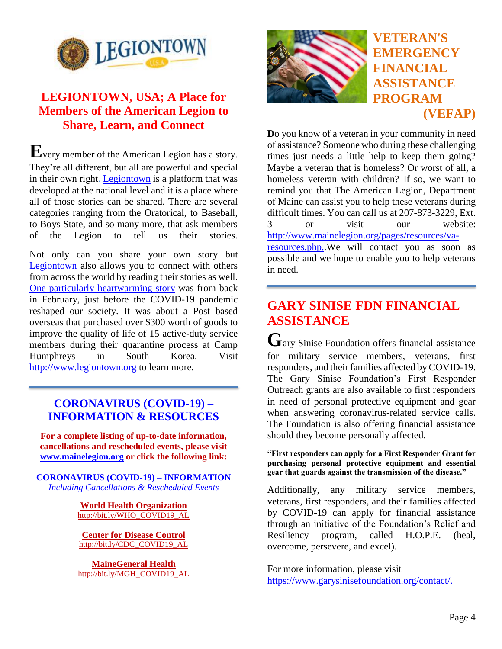

## **LEGIONTOWN, USA; A Place for Members of the American Legion to Share, Learn, and Connect**

**E**very member of the American Legion has a story. They're all different, but all are powerful and special in their own right. [Legiontown](http://www.legiontown.org/) is a platform that was developed at the national level and it is a place where all of those stories can be shared. There are several categories ranging from the Oratorical, to Baseball, to Boys State, and so many more, that ask members of the Legion to tell us their stories.

Not only can you share your own story but [Legiontown](http://www.legiontown.org/) also allows you to connect with others from across the world by reading their stories as well. [One particularly heartwarming](https://www.legion.org/stories/why-i-love-my-post/post-38-south-korea-provides-care-goods-servicemembers-being-quarantined) story was from back in February, just before the COVID-19 pandemic reshaped our society. It was about a Post based overseas that purchased over \$300 worth of goods to improve the quality of life of 15 active-duty service members during their quarantine process at Camp Humphreys in South Korea. Visit [http://www.legiontown.org](http://www.legiontown.org/) to learn more.

#### **[CORONAVIRUS \(COVID-19\) –](http://www.mainelegion.org/pages/news-events/covid-19-info.php) [INFORMATION](http://www.mainelegion.org/pages/news-events/covid-19-info.php) & RESOURCES**

**For a complete listing of up-to-date information, cancellations and rescheduled events, please visit [www.mainelegion.org](http://www.mainelegion.org/) or click the following link:** 

**[CORONAVIRUS \(COVID-19\) –](http://www.mainelegion.org/pages/news-events/covid-19-info.php) INFORMATION**  *[Including Cancellations & Rescheduled Events](http://www.mainelegion.org/pages/news-events/covid-19-info.php)*

> **[World Health Organization](https://www.who.int/emergencies/diseases/novel-coronavirus-2019/advice-for-public)** [http://bit.ly/WHO\\_COVID19\\_AL](http://bit.ly/WHO_COVID19_AL)

**[Center for Disease Control](http://bit.ly/CDC_COVID19_AL)** [http://bit.ly/CDC\\_COVID19\\_AL](http://bit.ly/CDC_COVID19_AL)

**[MaineGeneral Health](http://bit.ly/MGH_COVID19_AL)** [http://bit.ly/MGH\\_COVID19\\_AL](http://bit.ly/MGH_COVID19_AL)



## **VETERAN'S EMERGENCY FINANCIAL ASSISTANCE PROGRAM (VEFAP)**

**D**o you know of a veteran in your community in need of assistance? Someone who during these challenging times just needs a little help to keep them going? Maybe a veteran that is homeless? Or worst of all, a homeless veteran with children? If so, we want to remind you that The American Legion, Department of Maine can assist you to help these veterans during difficult times. You can call us at 207-873-3229, Ext. 3 or visit our website: [http://www.mainelegion.org/pages/resources/va](http://www.mainelegion.org/pages/resources/va-resources.php.)[resources.php..](http://www.mainelegion.org/pages/resources/va-resources.php.)We will contact you as soon as possible and we hope to enable you to help veterans in need.

# **GARY SINISE FDN FINANCIAL ASSISTANCE**

**G**ary Sinise Foundation offers financial assistance for military service members, veterans, first responders, and their families affected by COVID-19. The Gary Sinise Foundation's First Responder Outreach grants are also available to first responders in need of personal protective equipment and gear when answering coronavirus-related service calls. The Foundation is also offering financial assistance should they become personally affected.

**"First responders can apply for a First Responder Grant for purchasing personal protective equipment and essential gear that guards against the transmission of the disease."**

Additionally, any military service members, veterans, first responders, and their families affected by COVID-19 can apply for financial assistance through an initiative of the Foundation's Relief and Resiliency program, called H.O.P.E. (heal, overcome, persevere, and excel).

For more information, please visit [https://www.garysinisefoundation.org/contact/.](https://www.garysinisefoundation.org/contact/)